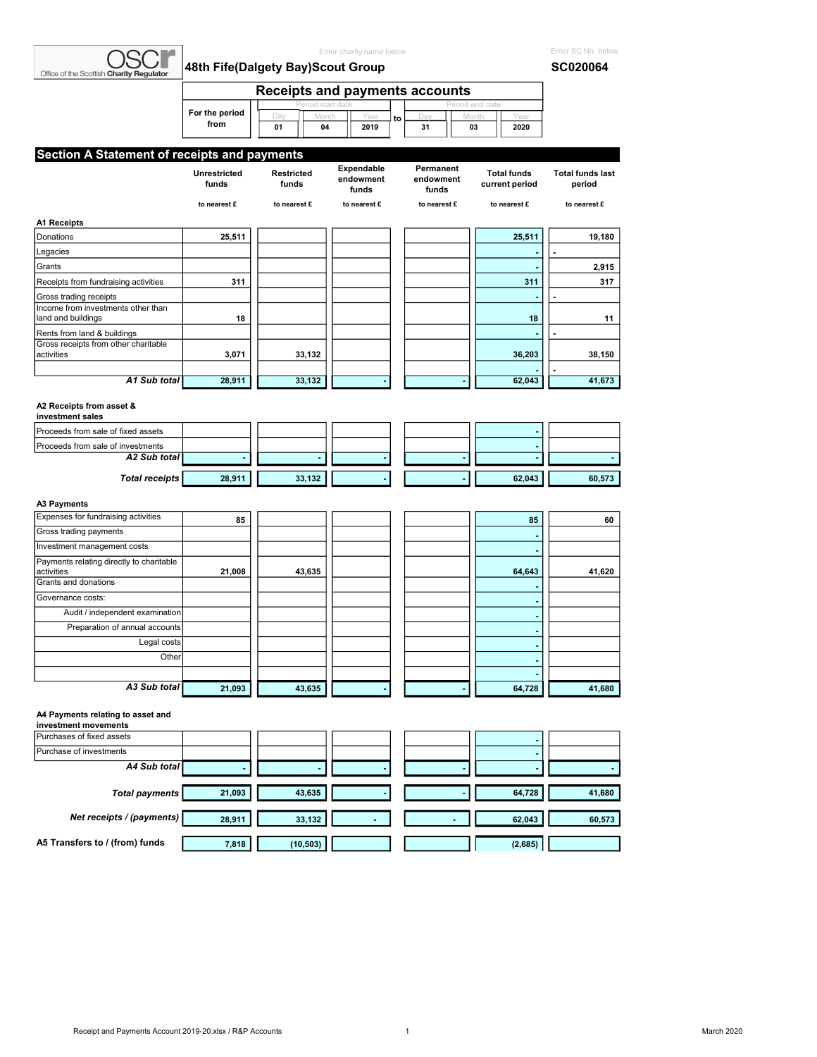| Office of the Scottish Charity Regulator                            |                        | Enter charity name below<br>48th Fife(Dalgety Bay)Scout Group |                                  |    |                                 |                               |                                      | Enter SC No. below<br><b>SC020064</b> |
|---------------------------------------------------------------------|------------------------|---------------------------------------------------------------|----------------------------------|----|---------------------------------|-------------------------------|--------------------------------------|---------------------------------------|
|                                                                     |                        | <b>Receipts and payments accounts</b>                         |                                  |    |                                 |                               |                                      |                                       |
|                                                                     | For the period<br>from | Day<br>01<br>04                                               | 2019                             | to | Dai<br>31                       | eriod end date<br>Month<br>03 | Yea<br>2020                          |                                       |
| Section A Statement of receipts and payments                        |                        |                                                               |                                  |    |                                 |                               |                                      |                                       |
|                                                                     | Unrestricted<br>funds  | Restricted<br>funds                                           | Expendable<br>endowment<br>funds |    | Permanent<br>endowment<br>funds |                               | <b>Total funds</b><br>current period | <b>Total funds last</b><br>period     |
|                                                                     | to nearest £           | to nearest £                                                  | to nearest £                     |    | to nearest £                    |                               | to nearest £                         | to nearest £                          |
| <b>A1 Receipts</b>                                                  |                        |                                                               |                                  |    |                                 |                               |                                      |                                       |
| Donations                                                           | 25,511                 |                                                               |                                  |    |                                 |                               | 25,511                               | 19,180                                |
| Legacies                                                            |                        |                                                               |                                  |    |                                 |                               |                                      |                                       |
| Grants                                                              |                        |                                                               |                                  |    |                                 |                               | ٠                                    | 2,915                                 |
| Receipts from fundraising activities                                | 311                    |                                                               |                                  |    |                                 |                               | 311                                  | 317                                   |
| Gross trading receipts                                              |                        |                                                               |                                  |    |                                 |                               |                                      |                                       |
| Income from investments other than                                  | 18                     |                                                               |                                  |    |                                 |                               | 18                                   | 11                                    |
| land and buildings                                                  |                        |                                                               |                                  |    |                                 |                               |                                      |                                       |
| Rents from land & buildings<br>Gross receipts from other charitable |                        |                                                               |                                  |    |                                 |                               |                                      |                                       |
| activities                                                          | 3,071                  | 33,132                                                        |                                  |    |                                 |                               | 36,203                               | 38,150                                |
|                                                                     |                        |                                                               |                                  |    |                                 |                               |                                      |                                       |
| A1 Sub total                                                        | 28,911                 | 33,132                                                        |                                  |    |                                 |                               | 62,043                               | 41,673                                |
| A2 Receipts from asset &                                            |                        |                                                               |                                  |    |                                 |                               |                                      |                                       |
| investment sales                                                    |                        |                                                               |                                  |    |                                 |                               |                                      |                                       |
| Proceeds from sale of fixed assets                                  |                        |                                                               |                                  |    |                                 |                               |                                      |                                       |
| Proceeds from sale of investments<br>A2 Sub total                   |                        |                                                               |                                  |    |                                 |                               | ÷,                                   |                                       |
|                                                                     |                        |                                                               |                                  |    |                                 |                               |                                      |                                       |
| <b>Total receipts</b>                                               | 28,911                 | 33,132                                                        |                                  |    |                                 |                               | 62,043                               | 60,573                                |
| <b>A3 Payments</b>                                                  |                        |                                                               |                                  |    |                                 |                               |                                      |                                       |
| Expenses for fundraising activities                                 | 85                     |                                                               |                                  |    |                                 |                               | 85                                   | 60                                    |
| Gross trading payments                                              |                        |                                                               |                                  |    |                                 |                               |                                      |                                       |
| Investment management costs                                         |                        |                                                               |                                  |    |                                 |                               |                                      |                                       |
| Payments relating directly to charitable                            |                        |                                                               |                                  |    |                                 |                               |                                      |                                       |
| activities<br>Grants and donations                                  | 21,008                 | 43,635                                                        |                                  |    |                                 |                               | 64,643                               | 41,620                                |
| Governance costs:                                                   |                        |                                                               |                                  |    |                                 |                               |                                      |                                       |
| Audit / independent examination                                     |                        |                                                               |                                  |    |                                 |                               | ٠                                    |                                       |
| Preparation of annual accounts                                      |                        |                                                               |                                  |    |                                 |                               |                                      |                                       |
| Legal costs                                                         |                        |                                                               |                                  |    |                                 |                               |                                      |                                       |
| Other                                                               |                        |                                                               |                                  |    |                                 |                               | ÷.                                   |                                       |
|                                                                     |                        |                                                               |                                  |    |                                 |                               | ä,                                   |                                       |
| A3 Sub total                                                        |                        |                                                               |                                  |    |                                 |                               |                                      |                                       |
|                                                                     | 21,093                 | 43,635                                                        |                                  |    |                                 |                               | 64,728                               | 41,680                                |
| A4 Payments relating to asset and                                   |                        |                                                               |                                  |    |                                 |                               |                                      |                                       |
| investment movements                                                |                        |                                                               |                                  |    |                                 |                               |                                      |                                       |
|                                                                     |                        |                                                               |                                  |    |                                 |                               |                                      |                                       |

## Purchases of fixed assets **- All Controls** Purchase of investments A4 Sub total Total payments **21,093** 43,635 43,635 43,635 44,680 Net receipts / (payments) 28,911 33,132 - - 62,043 60,573 A5 Transfers to / (from) funds 7,818 (10,503) ( 2,685)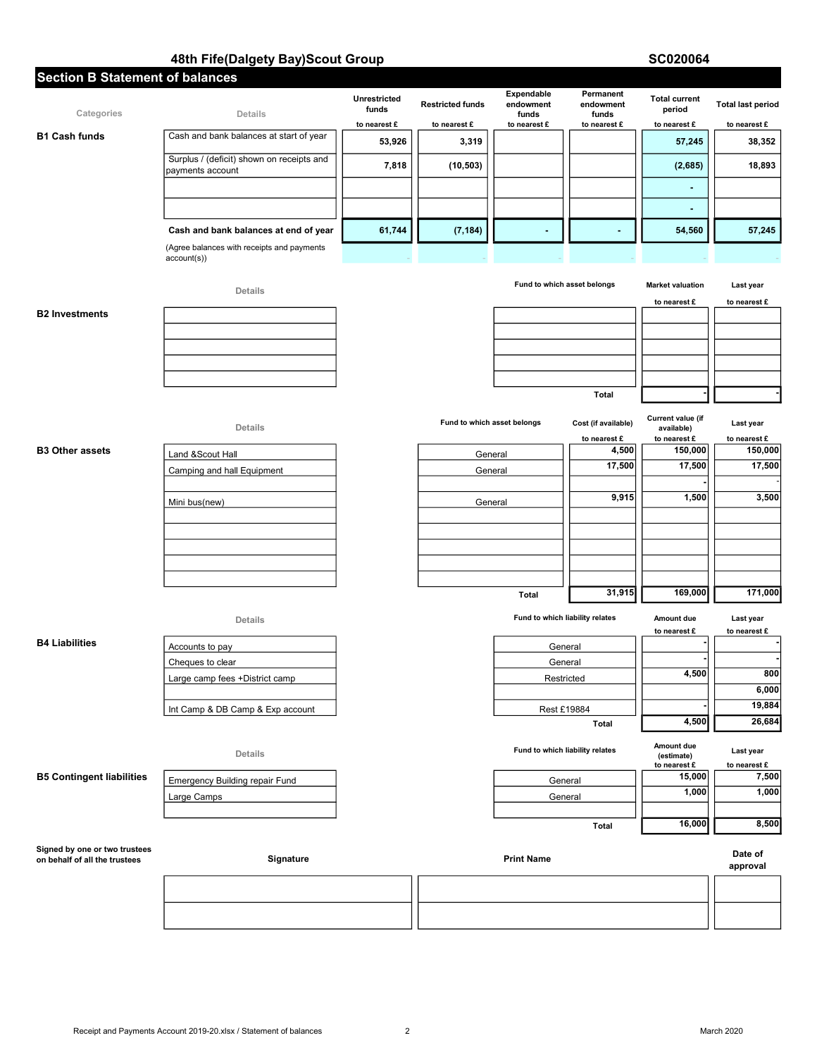# 48th Fife(Dalgety Bay)Scout Group SC020064

| <b>Section B Statement of balances</b>                         |                                                               |                       |                         |                                  |                                 |                                 |                          |
|----------------------------------------------------------------|---------------------------------------------------------------|-----------------------|-------------------------|----------------------------------|---------------------------------|---------------------------------|--------------------------|
| Categories                                                     | Details                                                       | Unrestricted<br>funds | <b>Restricted funds</b> | Expendable<br>endowment<br>funds | Permanent<br>endowment<br>funds | <b>Total current</b><br>period  | <b>Total last period</b> |
|                                                                |                                                               | to nearest £          | to nearest £            | to nearest £                     | to nearest £                    | to nearest £                    | to nearest £             |
| <b>B1 Cash funds</b>                                           | Cash and bank balances at start of year                       | 53,926                | 3,319                   |                                  |                                 | 57,245                          | 38,352                   |
|                                                                | Surplus / (deficit) shown on receipts and<br>payments account | 7,818                 | (10, 503)               |                                  |                                 | (2,685)                         | 18,893                   |
|                                                                |                                                               |                       |                         |                                  |                                 | ٠                               |                          |
|                                                                |                                                               |                       |                         |                                  |                                 | ٠                               |                          |
|                                                                | Cash and bank balances at end of year                         | 61,744                | (7, 184)                |                                  |                                 | 54,560                          | 57,245                   |
|                                                                | (Agree balances with receipts and payments<br>account(s))     |                       |                         |                                  |                                 |                                 |                          |
|                                                                | Details                                                       |                       |                         | Fund to which asset belongs      |                                 | <b>Market valuation</b>         | Last year                |
|                                                                |                                                               |                       |                         |                                  |                                 | to nearest £                    | to nearest £             |
| <b>B2 Investments</b>                                          |                                                               |                       |                         |                                  |                                 |                                 |                          |
|                                                                |                                                               |                       |                         |                                  |                                 |                                 |                          |
|                                                                |                                                               |                       |                         |                                  |                                 |                                 |                          |
|                                                                |                                                               |                       |                         |                                  |                                 |                                 |                          |
|                                                                |                                                               |                       |                         |                                  | <b>Total</b>                    |                                 |                          |
|                                                                |                                                               |                       |                         |                                  |                                 |                                 |                          |
|                                                                | Details                                                       |                       |                         | Fund to which asset belongs      | Cost (if available)             | Current value (if<br>available) | Last year                |
| <b>B3 Other assets</b>                                         |                                                               |                       |                         |                                  | to nearest £<br>4,500           | to nearest £<br>150,000         | to nearest £<br>150,000  |
|                                                                | Land &Scout Hall                                              |                       |                         | General                          | 17,500                          | 17,500                          | 17,500                   |
|                                                                | Camping and hall Equipment                                    |                       |                         | General                          |                                 |                                 |                          |
|                                                                | Mini bus(new)                                                 |                       |                         | General                          | 9,915                           | 1,500                           | 3,500                    |
|                                                                |                                                               |                       |                         |                                  |                                 |                                 |                          |
|                                                                |                                                               |                       |                         |                                  |                                 |                                 |                          |
|                                                                |                                                               |                       |                         |                                  |                                 |                                 |                          |
|                                                                |                                                               |                       |                         |                                  |                                 |                                 |                          |
|                                                                |                                                               |                       |                         |                                  | 31,915                          | 169,000                         | 171,000                  |
|                                                                |                                                               |                       |                         | <b>Total</b>                     |                                 |                                 |                          |
|                                                                | Details                                                       |                       |                         | Fund to which liability relates  |                                 | Amount due                      | Last year                |
| <b>B4 Liabilities</b>                                          |                                                               |                       |                         |                                  |                                 | to nearest £                    | to nearest £             |
|                                                                | Accounts to pay<br>Cheques to clear                           |                       |                         | General<br>General               |                                 |                                 |                          |
|                                                                | Large camp fees +District camp                                |                       |                         | Restricted                       |                                 | 4,500                           | 800                      |
|                                                                |                                                               |                       |                         |                                  |                                 |                                 | 6,000                    |
|                                                                | Int Camp & DB Camp & Exp account                              |                       |                         | Rest £19884                      |                                 |                                 | 19,884                   |
|                                                                |                                                               |                       |                         |                                  | Total                           | 4,500                           | 26,684                   |
|                                                                | Details                                                       |                       |                         | Fund to which liability relates  |                                 | Amount due<br>(estimate)        | Last year                |
| <b>B5 Contingent liabilities</b>                               |                                                               |                       |                         |                                  |                                 | to nearest £<br>15,000          | to nearest £<br>7,500    |
|                                                                | <b>Emergency Building repair Fund</b>                         |                       |                         | General                          |                                 | 1,000                           | 1,000                    |
|                                                                | Large Camps                                                   |                       |                         | General                          |                                 |                                 |                          |
|                                                                |                                                               |                       |                         |                                  | Total                           | 16,000                          | 8,500                    |
| Signed by one or two trustees<br>on behalf of all the trustees | Signature                                                     |                       |                         | <b>Print Name</b>                |                                 |                                 | Date of                  |
|                                                                |                                                               |                       |                         |                                  |                                 |                                 | approval                 |
|                                                                |                                                               |                       |                         |                                  |                                 |                                 |                          |
|                                                                |                                                               |                       |                         |                                  |                                 |                                 |                          |
|                                                                |                                                               |                       |                         |                                  |                                 |                                 |                          |
|                                                                |                                                               |                       |                         |                                  |                                 |                                 |                          |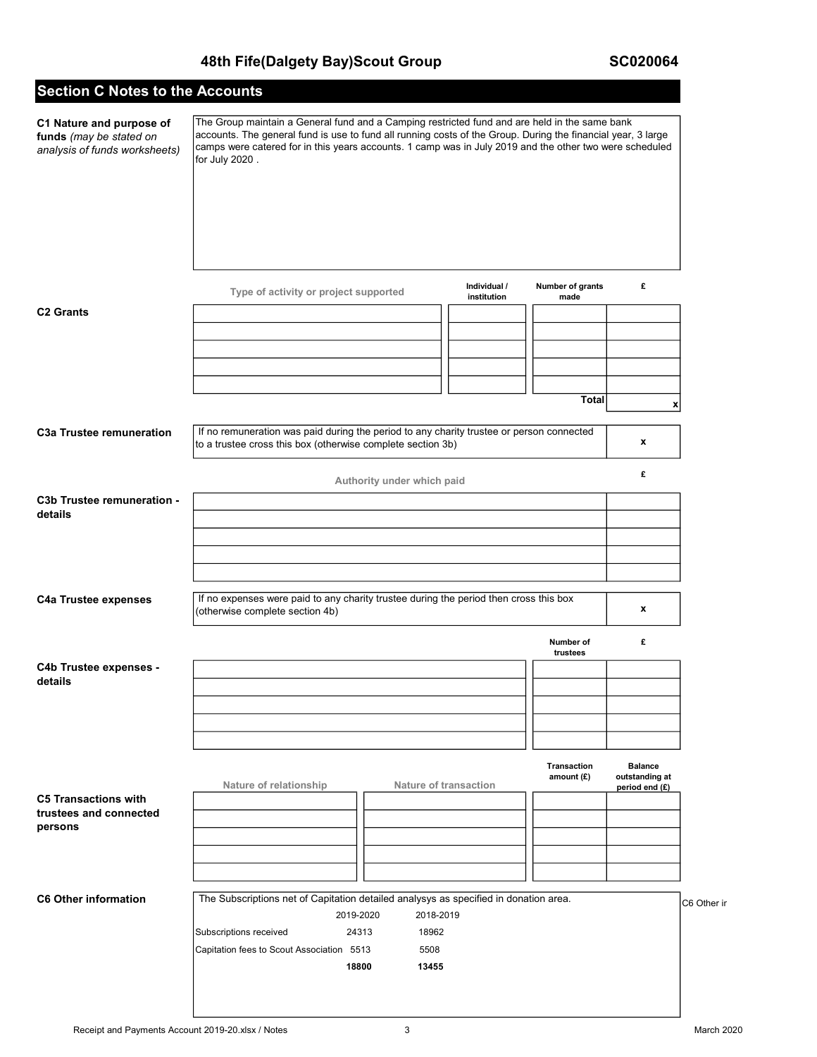# 48th Fife(Dalgety Bay)Scout Group SC020064

# Section C Notes to the Accounts

| C1 Nature and purpose of<br>funds (may be stated on<br>analysis of funds worksheets) | The Group maintain a General fund and a Camping restricted fund and are held in the same bank<br>accounts. The general fund is use to fund all running costs of the Group. During the financial year, 3 large<br>camps were catered for in this years accounts. 1 camp was in July 2019 and the other two were scheduled<br>for July 2020. |                             |                           |                                                    |             |
|--------------------------------------------------------------------------------------|--------------------------------------------------------------------------------------------------------------------------------------------------------------------------------------------------------------------------------------------------------------------------------------------------------------------------------------------|-----------------------------|---------------------------|----------------------------------------------------|-------------|
|                                                                                      | Type of activity or project supported                                                                                                                                                                                                                                                                                                      | Individual /<br>institution | Number of grants<br>made  | £                                                  |             |
| <b>C2 Grants</b>                                                                     |                                                                                                                                                                                                                                                                                                                                            |                             | <b>Total</b>              | x                                                  |             |
| <b>C3a Trustee remuneration</b>                                                      | If no remuneration was paid during the period to any charity trustee or person connected<br>to a trustee cross this box (otherwise complete section 3b)                                                                                                                                                                                    |                             |                           | x                                                  |             |
|                                                                                      | Authority under which paid                                                                                                                                                                                                                                                                                                                 |                             |                           | £                                                  |             |
| C3b Trustee remuneration -<br>details<br><b>C4a Trustee expenses</b>                 | If no expenses were paid to any charity trustee during the period then cross this box                                                                                                                                                                                                                                                      |                             |                           |                                                    |             |
|                                                                                      | (otherwise complete section 4b)                                                                                                                                                                                                                                                                                                            |                             | Number of                 | x<br>£                                             |             |
| C4b Trustee expenses -<br>details                                                    |                                                                                                                                                                                                                                                                                                                                            |                             | trustees                  |                                                    |             |
|                                                                                      | Nature of relationship<br><b>Nature of transaction</b>                                                                                                                                                                                                                                                                                     |                             | Transaction<br>amount (£) | <b>Balance</b><br>outstanding at<br>period end (£) |             |
| <b>C5 Transactions with</b><br>trustees and connected<br>persons                     |                                                                                                                                                                                                                                                                                                                                            |                             |                           |                                                    |             |
| <b>C6 Other information</b>                                                          | The Subscriptions net of Capitation detailed analysys as specified in donation area.<br>2019-2020<br>2018-2019<br>Subscriptions received<br>18962<br>24313<br>Capitation fees to Scout Association 5513<br>5508<br>18800<br>13455                                                                                                          |                             |                           |                                                    | C6 Other ir |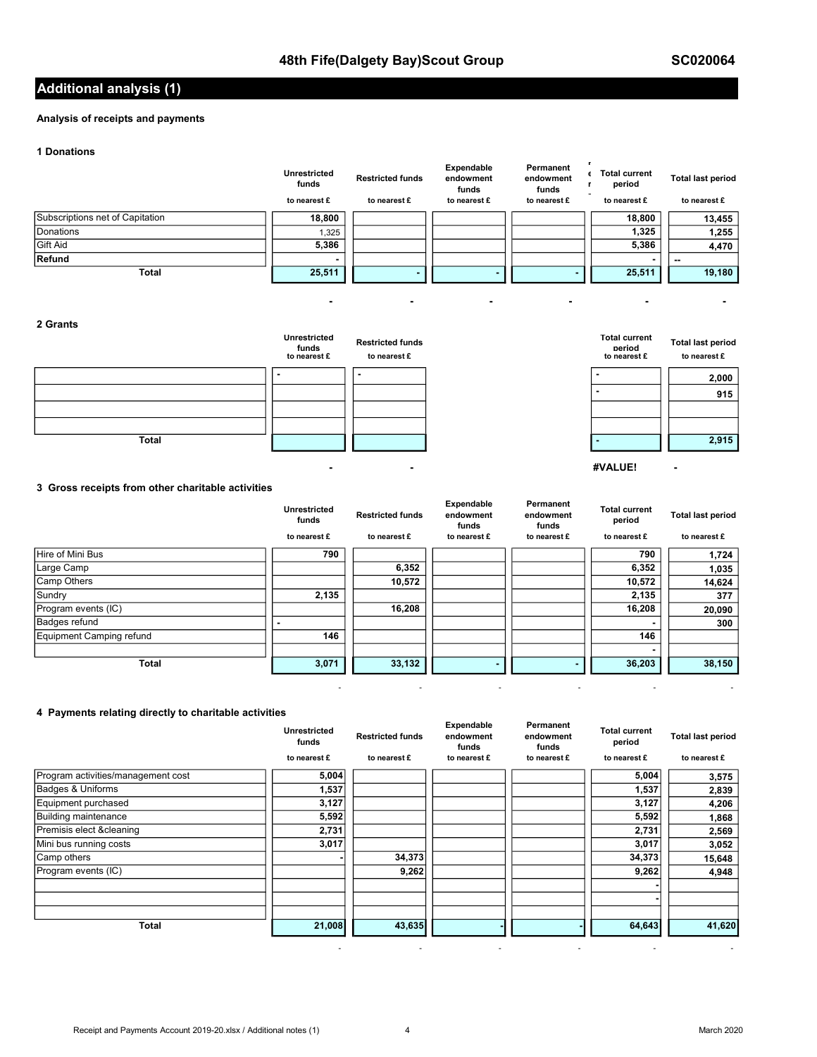## Additional analysis (1)

## Analysis of receipts and payments

### 1 Donations

|                                 | Unrestricted<br>funds<br>to nearest £ | <b>Restricted funds</b><br>to nearest £ | Expendable<br>endowment<br>funds<br>to nearest £ | Permanent<br>endowment<br>funds<br>to nearest £ | <b>Total current</b><br>period<br>to nearest £ | <b>Total last period</b><br>to nearest £ |
|---------------------------------|---------------------------------------|-----------------------------------------|--------------------------------------------------|-------------------------------------------------|------------------------------------------------|------------------------------------------|
| Subscriptions net of Capitation | 18,800                                |                                         |                                                  |                                                 | 18,800                                         | 13,455                                   |
| Donations                       | 1,325                                 |                                         |                                                  |                                                 | 1,325                                          | 1,255                                    |
| <b>Gift Aid</b>                 | 5,386                                 |                                         |                                                  |                                                 | 5,386                                          | 4,470                                    |
| Refund                          | $\overline{\phantom{0}}$              |                                         |                                                  |                                                 |                                                |                                          |
| <b>Total</b>                    | 25,511                                |                                         |                                                  |                                                 | 25,511                                         | 19,180                                   |

## 2 Grants

|              | <b>Unrestricted</b><br>funds<br>to nearest £ | <b>Restricted funds</b><br>to nearest £ | <b>Total current</b><br>neriod<br>to nearest £ | <b>Total last period</b><br>to nearest £ |
|--------------|----------------------------------------------|-----------------------------------------|------------------------------------------------|------------------------------------------|
|              |                                              |                                         |                                                | 2,000                                    |
|              |                                              |                                         |                                                | 915                                      |
|              |                                              |                                         |                                                |                                          |
|              |                                              |                                         |                                                |                                          |
| <b>Total</b> |                                              |                                         |                                                | 2,915                                    |

- - #VALUE! -

- - - - - -

- - - - - -

## 3 Gross receipts from other charitable activities

|                          | <b>Unrestricted</b><br>funds | <b>Restricted funds</b> | Expendable<br>endowment<br>funds | Permanent<br>endowment<br>funds | <b>Total current</b><br>period | <b>Total last period</b> |
|--------------------------|------------------------------|-------------------------|----------------------------------|---------------------------------|--------------------------------|--------------------------|
|                          | to nearest £                 | to nearest £            | to nearest £                     | to nearest £                    | to nearest £                   | to nearest £             |
| <b>Hire of Mini Bus</b>  | 790                          |                         |                                  |                                 | 790                            | 1,724                    |
| Large Camp               |                              | 6,352                   |                                  |                                 | 6,352                          | 1,035                    |
| Camp Others              |                              | 10,572                  |                                  |                                 | 10,572                         | 14,624                   |
| Sundry                   | 2,135                        |                         |                                  |                                 | 2,135                          | 377                      |
| Program events (IC)      |                              | 16,208                  |                                  |                                 | 16,208                         | 20,090                   |
| Badges refund            |                              |                         |                                  |                                 |                                | 300                      |
| Equipment Camping refund | 146                          |                         |                                  |                                 | 146                            |                          |
|                          |                              |                         |                                  |                                 |                                |                          |
| <b>Total</b>             | 3,071                        | 33,132                  |                                  |                                 | 36,203                         | 38,150                   |

## 4 Payments relating directly to charitable activities

|                                    | <b>Unrestricted</b><br>funds | <b>Restricted funds</b> | Expendable<br>endowment<br>funds | Permanent<br>endowment<br>funds | <b>Total current</b><br>period | <b>Total last period</b> |
|------------------------------------|------------------------------|-------------------------|----------------------------------|---------------------------------|--------------------------------|--------------------------|
|                                    | to nearest £                 | to nearest £            | to nearest £                     | to nearest £                    | to nearest £                   | to nearest £             |
| Program activities/management cost | 5,004                        |                         |                                  |                                 | 5,004                          | 3,575                    |
| Badges & Uniforms                  | 1,537                        |                         |                                  |                                 | 1,537                          | 2,839                    |
| Equipment purchased                | 3,127                        |                         |                                  |                                 | 3,127                          | 4,206                    |
| <b>Building maintenance</b>        | 5,592                        |                         |                                  |                                 | 5,592                          | 1,868                    |
| Premisis elect & cleaning          | 2,731                        |                         |                                  |                                 | 2,731                          | 2,569                    |
| Mini bus running costs             | 3,017                        |                         |                                  |                                 | 3,017                          | 3,052                    |
| Camp others                        |                              | 34,373                  |                                  |                                 | 34,373                         | 15,648                   |
| Program events (IC)                |                              | 9,262                   |                                  |                                 | 9,262                          | 4,948                    |
|                                    |                              |                         |                                  |                                 |                                |                          |
| <b>Total</b>                       | 21,008                       | 43,635                  |                                  |                                 | 64,643                         | 41,620                   |

- - - - - -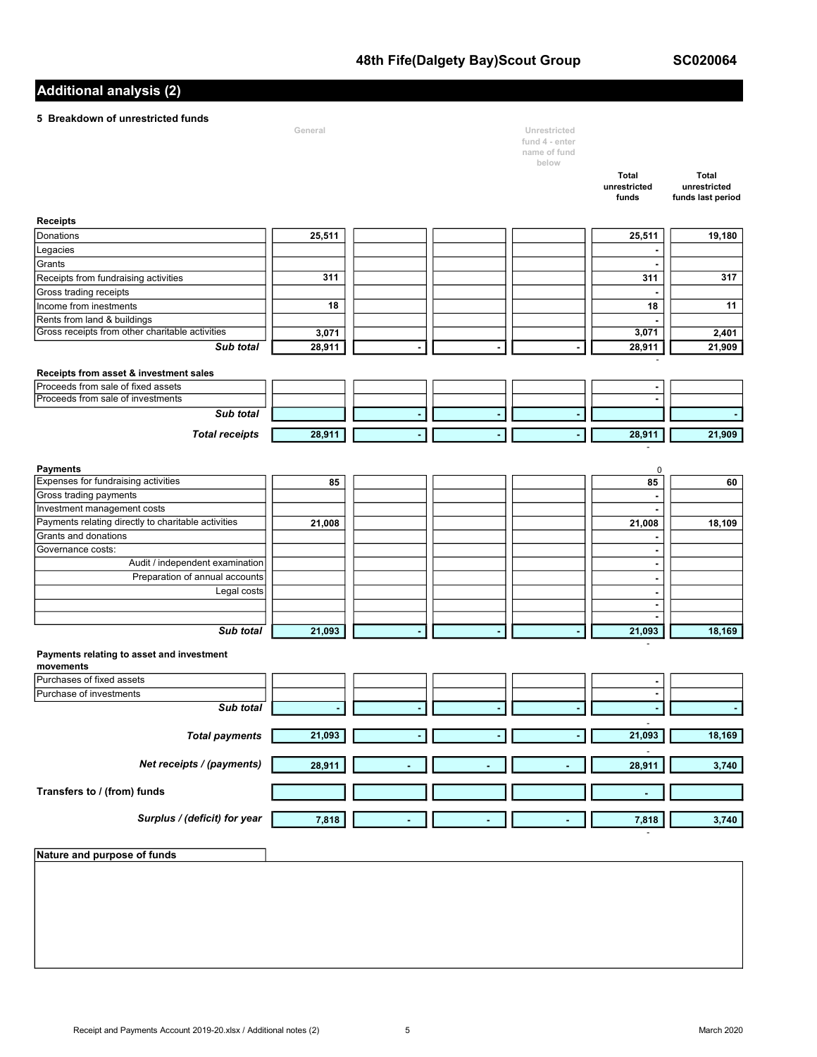SC020064

# Additional analysis (2)

# 5 Breakdown of unrestricted funds

| <b>BIBANDOWITOI GIIIBSUICLEU IUIIUS</b>                | General |                | Unrestricted   |                                    |                              |
|--------------------------------------------------------|---------|----------------|----------------|------------------------------------|------------------------------|
|                                                        |         |                | fund 4 - enter |                                    |                              |
|                                                        |         |                | name of fund   |                                    |                              |
|                                                        |         |                | below          |                                    |                              |
|                                                        |         |                |                | <b>Total</b><br>unrestricted       | <b>Total</b><br>unrestricted |
|                                                        |         |                |                | funds                              | funds last period            |
|                                                        |         |                |                |                                    |                              |
| <b>Receipts</b>                                        |         |                |                |                                    |                              |
| Donations                                              | 25,511  |                |                | 25,511                             | 19,180                       |
| Legacies                                               |         |                |                | $\blacksquare$                     |                              |
| Grants                                                 |         |                |                |                                    |                              |
| Receipts from fundraising activities                   | 311     |                |                | 311                                | 317                          |
| Gross trading receipts                                 |         |                |                |                                    |                              |
| Income from inestments                                 | 18      |                |                | 18                                 | 11                           |
| Rents from land & buildings                            |         |                |                |                                    |                              |
| Gross receipts from other charitable activities        | 3,071   |                |                | 3,071                              | 2,401                        |
| Sub total                                              | 28,911  |                |                | 28,911                             | 21,909                       |
|                                                        |         |                |                |                                    |                              |
| Receipts from asset & investment sales                 |         |                |                |                                    |                              |
| Proceeds from sale of fixed assets                     |         |                |                | $\blacksquare$                     |                              |
| Proceeds from sale of investments                      |         |                |                |                                    |                              |
| Sub total                                              |         | $\blacksquare$ |                |                                    |                              |
|                                                        |         |                |                |                                    |                              |
| <b>Total receipts</b>                                  | 28,911  |                |                | 28,911                             | 21,909                       |
|                                                        |         |                |                |                                    |                              |
| <b>Payments</b>                                        |         |                |                | 0                                  |                              |
| Expenses for fundraising activities                    | 85      |                |                | 85                                 | 60                           |
| Gross trading payments                                 |         |                |                | ٠                                  |                              |
| Investment management costs                            |         |                |                |                                    |                              |
| Payments relating directly to charitable activities    | 21,008  |                |                | 21,008                             | 18,109                       |
| Grants and donations                                   |         |                |                |                                    |                              |
| Governance costs:                                      |         |                |                | $\blacksquare$                     |                              |
| Audit / independent examination                        |         |                |                | $\blacksquare$                     |                              |
| Preparation of annual accounts                         |         |                |                | $\overline{\phantom{a}}$           |                              |
| Legal costs                                            |         |                |                | $\blacksquare$                     |                              |
|                                                        |         |                |                | $\blacksquare$                     |                              |
|                                                        |         |                |                | $\blacksquare$                     |                              |
| Sub total                                              | 21,093  |                |                | 21,093                             | 18,169                       |
|                                                        |         |                |                |                                    |                              |
| Payments relating to asset and investment<br>movements |         |                |                |                                    |                              |
| Purchases of fixed assets                              |         |                |                | $\overline{\phantom{a}}$           |                              |
| Purchase of investments                                |         |                |                | $\blacksquare$                     |                              |
| Sub total                                              |         |                |                |                                    |                              |
|                                                        |         |                |                |                                    |                              |
| <b>Total payments</b>                                  | 21,093  |                |                | $\overline{\phantom{a}}$<br>21,093 | 18,169                       |
|                                                        |         |                |                |                                    |                              |
| Net receipts / (payments)                              |         |                |                |                                    |                              |
|                                                        | 28,911  |                |                | 28,911                             | 3,740                        |
|                                                        |         |                |                |                                    |                              |
| Transfers to / (from) funds                            |         |                |                | ä,                                 |                              |
|                                                        |         |                |                |                                    |                              |
| Surplus / (deficit) for year                           | 7,818   |                |                | 7,818                              | 3,740                        |
|                                                        |         |                |                |                                    |                              |
| Nature and purpose of funds                            |         |                |                |                                    |                              |
|                                                        |         |                |                |                                    |                              |
|                                                        |         |                |                |                                    |                              |
|                                                        |         |                |                |                                    |                              |